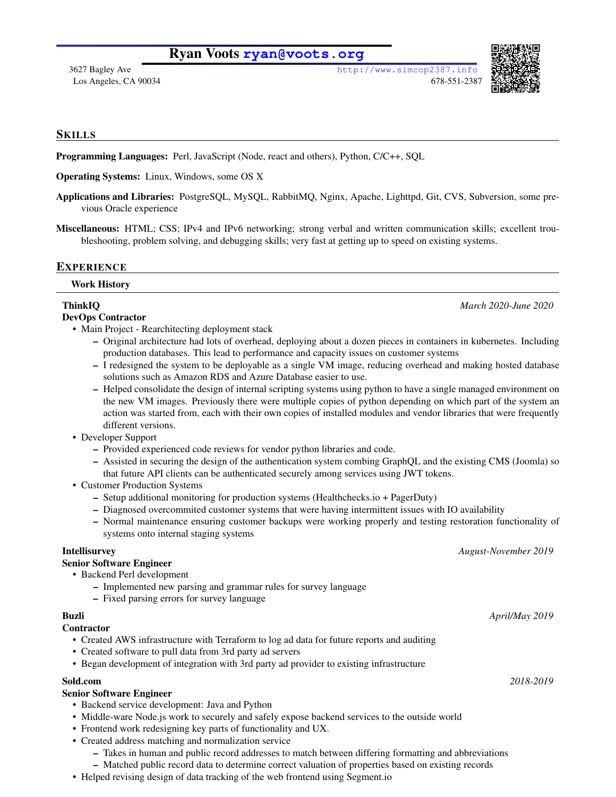# Ryan Voots **<ryan@voots.org>**





## **SKILLS**

Programming Languages: Perl, JavaScript (Node, react and others), Python, C/C++, SQL

Operating Systems: Linux, Windows, some OS X

Applications and Libraries: PostgreSQL, MySQL, RabbitMQ, Nginx, Apache, Lighttpd, Git, CVS, Subversion, some previous Oracle experience

Miscellaneous: HTML; CSS; IPv4 and IPv6 networking; strong verbal and written communication skills; excellent troubleshooting, problem solving, and debugging skills; very fast at getting up to speed on existing systems.

## **EXPERIENCE**

### Work History

## ThinkIQ *March 2020-June 2020*

## DevOps Contractor

- Main Project Rearchitecting deployment stack
	- Original architecture had lots of overhead, deploying about a dozen pieces in containers in kubernetes. Including production databases. This lead to performance and capacity issues on customer systems
	- I redesigned the system to be deployable as a single VM image, reducing overhead and making hosted database solutions such as Amazon RDS and Azure Database easier to use.
	- Helped consolidate the design of internal scripting systems using python to have a single managed environment on the new VM images. Previously there were multiple copies of python depending on which part of the system an action was started from, each with their own copies of installed modules and vendor libraries that were frequently different versions.
- Developer Support
	- Provided experienced code reviews for vendor python libraries and code.
	- Assisted in securing the design of the authentication system combing GraphQL and the existing CMS (Joomla) so that future API clients can be authenticated securely among services using JWT tokens.
- Customer Production Systems
	- Setup additional monitoring for production systems (Healthchecks.io + PagerDuty)
	- Diagnosed overcommited customer systems that were having intermittent issues with IO availability
	- Normal maintenance ensuring customer backups were working properly and testing restoration functionality of systems onto internal staging systems

# Senior Software Engineer

- Backend Perl development
	- Implemented new parsing and grammar rules for survey language
	- Fixed parsing errors for survey language

### **Contractor**

- Created AWS infrastructure with Terraform to log ad data for future reports and auditing
- Created software to pull data from 3rd party ad servers
- Began development of integration with 3rd party ad provider to existing infrastructure

# Sold.com *2018-2019*

# Senior Software Engineer

- Backend service development: Java and Python
- Middle-ware Node.js work to securely and safely expose backend services to the outside world
- Frontend work redesigning key parts of functionality and UX.
- Created address matching and normalization service
	- Takes in human and public record addresses to match between differing formatting and abbreviations
	- Matched public record data to determine correct valuation of properties based on existing records
- Helped revising design of data tracking of the web frontend using Segment.io

Intellisurvey *August-November 2019*

Buzli *April/May 2019*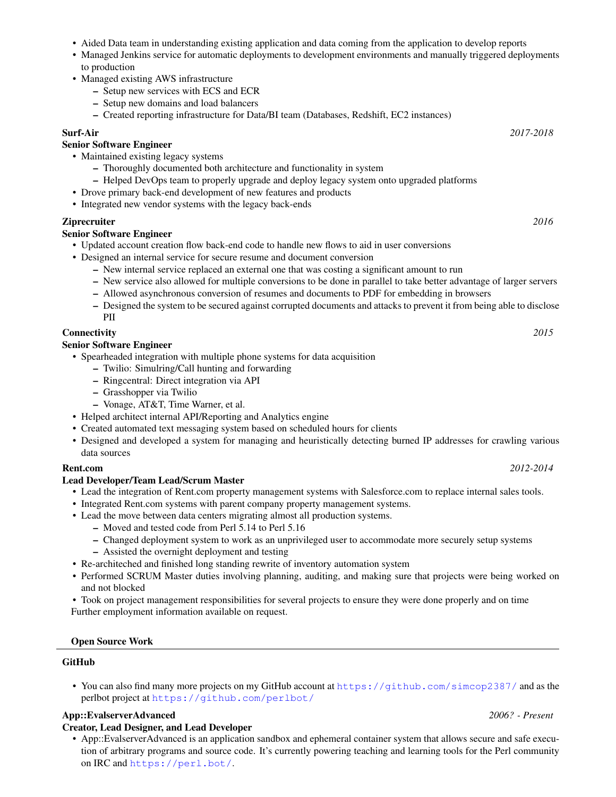- Aided Data team in understanding existing application and data coming from the application to develop reports
- Managed Jenkins service for automatic deployments to development environments and manually triggered deployments to production
- Managed existing AWS infrastructure
	- Setup new services with ECS and ECR
	- Setup new domains and load balancers
	- Created reporting infrastructure for Data/BI team (Databases, Redshift, EC2 instances)

### Surf-Air *2017-2018*

# Senior Software Engineer

- Maintained existing legacy systems
	- Thoroughly documented both architecture and functionality in system
	- Helped DevOps team to properly upgrade and deploy legacy system onto upgraded platforms
- Drove primary back-end development of new features and products
- Integrated new vendor systems with the legacy back-ends

## Ziprecruiter *2016*

## Senior Software Engineer

- Updated account creation flow back-end code to handle new flows to aid in user conversions
- Designed an internal service for secure resume and document conversion
	- New internal service replaced an external one that was costing a significant amount to run
	- New service also allowed for multiple conversions to be done in parallel to take better advantage of larger servers
	- Allowed asynchronous conversion of resumes and documents to PDF for embedding in browsers
	- Designed the system to be secured against corrupted documents and attacks to prevent it from being able to disclose PII

## Connectivity *2015*

### Senior Software Engineer

- Spearheaded integration with multiple phone systems for data acquisition
	- Twilio: Simulring/Call hunting and forwarding
	- Ringcentral: Direct integration via API
	- Grasshopper via Twilio
	- Vonage, AT&T, Time Warner, et al.
- Helped architect internal API/Reporting and Analytics engine
- Created automated text messaging system based on scheduled hours for clients
- Designed and developed a system for managing and heuristically detecting burned IP addresses for crawling various data sources

### Rent.com *2012-2014*

## Lead Developer/Team Lead/Scrum Master

- Lead the integration of Rent.com property management systems with Salesforce.com to replace internal sales tools.
- Integrated Rent.com systems with parent company property management systems.
- Lead the move between data centers migrating almost all production systems.
	- Moved and tested code from Perl 5.14 to Perl 5.16
	- Changed deployment system to work as an unprivileged user to accommodate more securely setup systems
	- Assisted the overnight deployment and testing
- Re-architeched and finished long standing rewrite of inventory automation system
- Performed SCRUM Master duties involving planning, auditing, and making sure that projects were being worked on and not blocked

• Took on project management responsibilities for several projects to ensure they were done properly and on time

Further employment information available on request.

### Open Source Work

### GitHub

• You can also find many more projects on my GitHub account at <https://github.com/simcop2387/> and as the perlbot project at <https://github.com/perlbot/>

## App::EvalserverAdvanced *2006? - Present*

### Creator, Lead Designer, and Lead Developer

• App::EvalserverAdvanced is an application sandbox and ephemeral container system that allows secure and safe execution of arbitrary programs and source code. It's currently powering teaching and learning tools for the Perl community on IRC and <https://perl.bot/>.